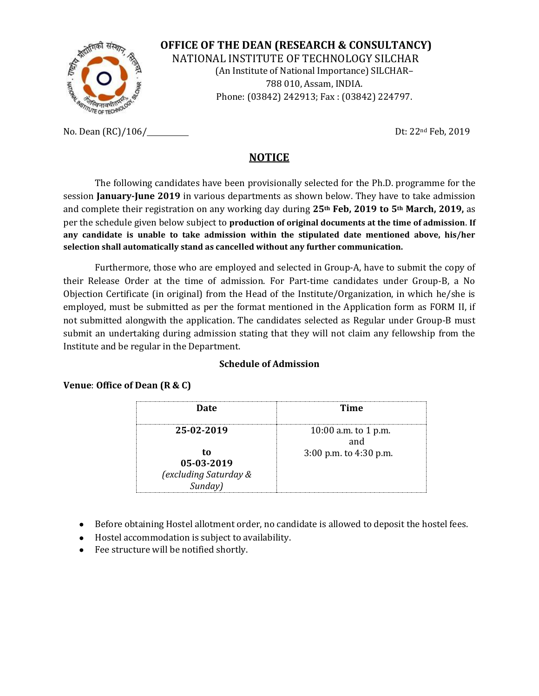

**OFFICE OF THE DEAN (RESEARCH & CONSULTANCY)** NATIONAL INSTITUTE OF TECHNOLOGY SILCHAR (An Institute of National Importance) SILCHAR– 788 010, Assam, INDIA. Phone: (03842) 242913; Fax : (03842) 224797.

No. Dean (RC)/106/ Dt: 22<sup>nd</sup> Feb, 2019

#### **NOTICE**

The following candidates have been provisionally selected for the Ph.D. programme for the session **January-June 2019** in various departments as shown below. They have to take admission and complete their registration on any working day during **25th Feb, 2019 to 5th March, 2019,** as per the schedule given below subject to **production of original documents at the time of admission**. **If any candidate is unable to take admission within the stipulated date mentioned above, his/her selection shall automatically stand as cancelled without any further communication.**

Furthermore, those who are employed and selected in Group-A, have to submit the copy of their Release Order at the time of admission. For Part-time candidates under Group-B, a No Objection Certificate (in original) from the Head of the Institute/Organization, in which he/she is employed, must be submitted as per the format mentioned in the Application form as FORM II, if not submitted alongwith the application. The candidates selected as Regular under Group-B must submit an undertaking during admission stating that they will not claim any fellowship from the Institute and be regular in the Department.

#### **Schedule of Admission**

#### **Venue**: **Office of Dean (R & C)**

| Date                             | Time                       |
|----------------------------------|----------------------------|
|                                  |                            |
| 25-02-2019                       | 10:00 a.m. to 1 p.m.       |
| TO.<br>05-03-2019                | $3:00$ p.m. to $4:30$ p.m. |
| (excluding Saturday &<br>Sunday) |                            |

- Before obtaining Hostel allotment order, no candidate is allowed to deposit the hostel fees.
- Hostel accommodation is subject to availability.
- Fee structure will be notified shortly.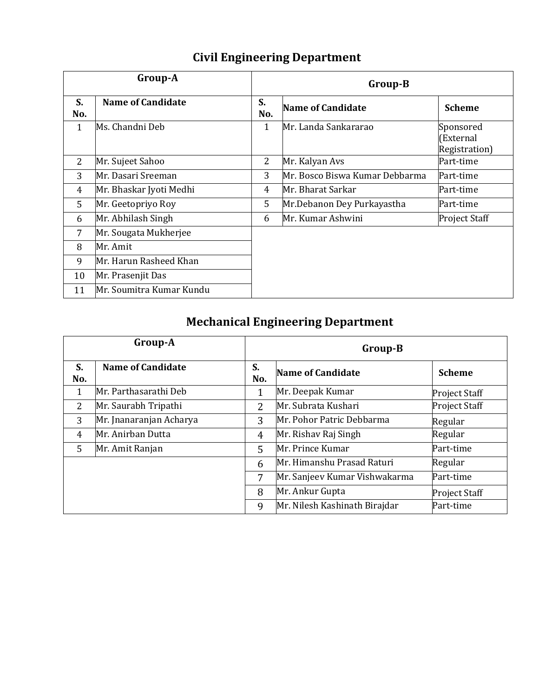| <b>Civil Engineering Department</b> |
|-------------------------------------|
|-------------------------------------|

|                | Group-A                  | Group-B   |                                |                                         |
|----------------|--------------------------|-----------|--------------------------------|-----------------------------------------|
| S.<br>No.      | <b>Name of Candidate</b> | S.<br>No. | <b>Name of Candidate</b>       | <b>Scheme</b>                           |
| 1              | Ms. Chandni Deb          | 1         | Mr. Landa Sankararao           | Sponsored<br>(External<br>Registration) |
| $\overline{2}$ | Mr. Sujeet Sahoo         | 2         | Mr. Kalyan Avs                 | Part-time                               |
| 3              | Mr. Dasari Sreeman       | 3         | Mr. Bosco Biswa Kumar Debbarma | Part-time                               |
| 4              | Mr. Bhaskar Jyoti Medhi  | 4         | Mr. Bharat Sarkar              | Part-time                               |
| 5              | Mr. Geetopriyo Roy       | 5         | Mr.Debanon Dey Purkayastha     | Part-time                               |
| 6              | Mr. Abhilash Singh       | 6         | Mr. Kumar Ashwini              | <b>Project Staff</b>                    |
| 7              | Mr. Sougata Mukherjee    |           |                                |                                         |
| 8              | Mr. Amit                 |           |                                |                                         |
| 9              | Mr. Harun Rasheed Khan   |           |                                |                                         |
| 10             | Mr. Prasenjit Das        |           |                                |                                         |
| 11             | Mr. Soumitra Kumar Kundu |           |                                |                                         |

# **Mechanical Engineering Department**

|           | Group-A                  | Group-B   |                               |                      |
|-----------|--------------------------|-----------|-------------------------------|----------------------|
| S.<br>No. | <b>Name of Candidate</b> | S.<br>No. | <b>Name of Candidate</b>      | <b>Scheme</b>        |
| 1         | Mr. Parthasarathi Deb    |           | Mr. Deepak Kumar              | <b>Project Staff</b> |
| 2         | Mr. Saurabh Tripathi     | 2         | Mr. Subrata Kushari           | <b>Project Staff</b> |
| 3         | Mr. Jnanaranjan Acharya  | 3         | Mr. Pohor Patric Debbarma     | Regular              |
| 4         | Mr. Anirban Dutta        | 4         | Mr. Rishav Raj Singh          | Regular              |
| 5         | Mr. Amit Ranjan          | 5         | Mr. Prince Kumar              | Part-time            |
|           |                          | 6         | Mr. Himanshu Prasad Raturi    | Regular              |
|           |                          | 7         | Mr. Sanjeev Kumar Vishwakarma | Part-time            |
|           |                          | 8         | Mr. Ankur Gupta               | <b>Project Staff</b> |
|           |                          | 9         | Mr. Nilesh Kashinath Birajdar | Part-time            |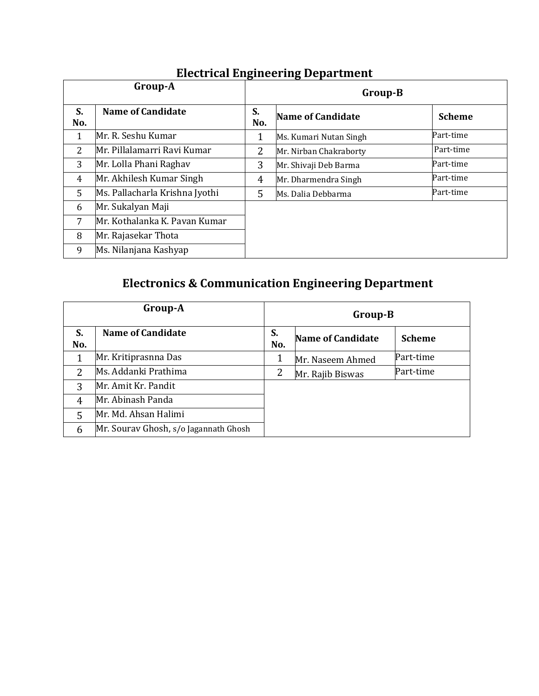|              | Group-A                        | ъ.<br>ъ-<br>Group-B |                          |               |
|--------------|--------------------------------|---------------------|--------------------------|---------------|
| S.<br>No.    | <b>Name of Candidate</b>       | S.<br>No.           | <b>Name of Candidate</b> | <b>Scheme</b> |
| $\mathbf{1}$ | Mr. R. Seshu Kumar             |                     | Ms. Kumari Nutan Singh   | Part-time     |
| 2            | Mr. Pillalamarri Ravi Kumar    | $\overline{2}$      | Mr. Nirban Chakraborty   | Part-time     |
| 3            | Mr. Lolla Phani Raghav         | 3                   | Mr. Shivaji Deb Barma    | Part-time     |
| 4            | Mr. Akhilesh Kumar Singh       | 4                   | Mr. Dharmendra Singh     | Part-time     |
| $5^{\circ}$  | Ms. Pallacharla Krishna Jyothi | 5                   | Ms. Dalia Debbarma       | Part-time     |
| 6            | Mr. Sukalyan Maji              |                     |                          |               |
| 7            | Mr. Kothalanka K. Pavan Kumar  |                     |                          |               |
| 8            | Mr. Rajasekar Thota            |                     |                          |               |
| 9            | Ms. Nilanjana Kashyap          |                     |                          |               |

### **Electrical Engineering Department**

# **Electronics & Communication Engineering Department**

|           | Group-A                               | Group-B   |                          |               |
|-----------|---------------------------------------|-----------|--------------------------|---------------|
| S.<br>No. | <b>Name of Candidate</b>              | S.<br>No. | <b>Name of Candidate</b> | <b>Scheme</b> |
|           | Mr. Kritiprasnna Das                  | 1         | Mr. Naseem Ahmed         | Part-time     |
| 2         | Ms. Addanki Prathima                  | 2         | Mr. Rajib Biswas         | Part-time     |
| 3         | Mr. Amit Kr. Pandit                   |           |                          |               |
| 4         | Mr. Abinash Panda                     |           |                          |               |
| 5         | Mr. Md. Ahsan Halimi                  |           |                          |               |
| 6         | Mr. Sourav Ghosh, s/o Jagannath Ghosh |           |                          |               |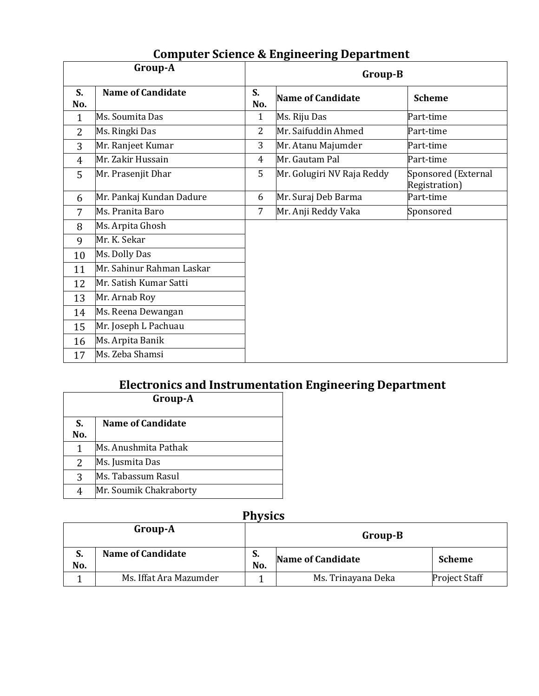|                | Group-A                   |                | Group-B                    |                                      |
|----------------|---------------------------|----------------|----------------------------|--------------------------------------|
| S.<br>No.      | <b>Name of Candidate</b>  | S.<br>No.      | <b>Name of Candidate</b>   | <b>Scheme</b>                        |
| $\mathbf{1}$   | Ms. Soumita Das           | $\mathbf{1}$   | Ms. Riju Das               | Part-time                            |
| $\overline{2}$ | Ms. Ringki Das            | $\overline{2}$ | Mr. Saifuddin Ahmed        | Part-time                            |
| 3              | Mr. Ranjeet Kumar         | 3              | Mr. Atanu Majumder         | Part-time                            |
| $\overline{4}$ | Mr. Zakir Hussain         | 4              | Mr. Gautam Pal             | Part-time                            |
| 5              | Mr. Prasenjit Dhar        | 5              | Mr. Golugiri NV Raja Reddy | Sponsored (External<br>Registration) |
| 6              | Mr. Pankaj Kundan Dadure  | 6              | Mr. Suraj Deb Barma        | Part-time                            |
| 7              | Ms. Pranita Baro          | 7              | Mr. Anji Reddy Vaka        | Sponsored                            |
| 8              | Ms. Arpita Ghosh          |                |                            |                                      |
| 9              | Mr. K. Sekar              |                |                            |                                      |
| 10             | Ms. Dolly Das             |                |                            |                                      |
| 11             | Mr. Sahinur Rahman Laskar |                |                            |                                      |
| 12             | Mr. Satish Kumar Satti    |                |                            |                                      |
| 13             | Mr. Arnab Roy             |                |                            |                                      |
| 14             | Ms. Reena Dewangan        |                |                            |                                      |
| 15             | Mr. Joseph L Pachuau      |                |                            |                                      |
| 16             | Ms. Arpita Banik          |                |                            |                                      |
| 17             | Ms. Zeba Shamsi           |                |                            |                                      |

## **Computer Science & Engineering Department**

# **Electronics and Instrumentation Engineering Department**

| Group-A   |                          |  |  |  |
|-----------|--------------------------|--|--|--|
| S.<br>No. | <b>Name of Candidate</b> |  |  |  |
|           | Ms. Anushmita Pathak     |  |  |  |
| 2         | Ms. Jusmita Das          |  |  |  |
| 3         | Ms. Tabassum Rasul       |  |  |  |
|           | Mr. Soumik Chakraborty   |  |  |  |

## **Physics**

|           | Group-A                  | Group-B   |                          |                      |
|-----------|--------------------------|-----------|--------------------------|----------------------|
| S.<br>No. | <b>Name of Candidate</b> | ъ.<br>No. | <b>Name of Candidate</b> | <b>Scheme</b>        |
|           | Ms. Iffat Ara Mazumder   |           | Ms. Trinayana Deka       | <b>Project Staff</b> |